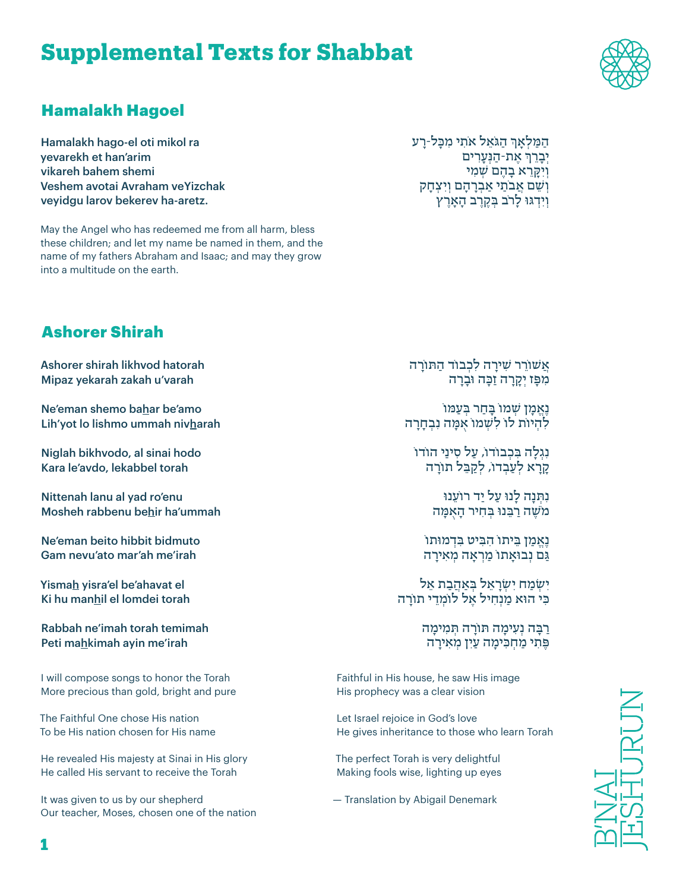# **Supplemental Texts for Shabbat**



#### Hamalakh Hagoel

Hamalakh hago-el oti mikol ra yevarekh et han'arim vikareh bahem shemi Veshem avotai Avraham veYizchak veyidgu larov bekerev ha-aretz.

May the Angel who has redeemed me from all harm, bless these children; and let my name be named in them, and the name of my fathers Abraham and Isaac; and may they grow into a multitude on the earth.

ְהַמַּלְאָךְ הַגֹּאֵל אֹתִי מִכָּל-רָע ְ אֶ ת-הַ נְּעָרִ ים יְבָ רֵ ך ׁ וְ יִקָּ רֵ א בָ הֶ ם שְ מִ י ׁוְ שֵ ם אֲ בֹתַ י אַ בְ רָ הָ ם וְ יִ צְ חָ ק וְ יִדְ גּוּ לָרֹב בְּ קֶ רֶ ב הָ אָ רֶ ץ

## Ashorer Shirah

Ashorer shirah likhvod hatorah Mipaz yekarah zakah u'varah

Ne'eman shemo bahar be'amo Lih'yot lo lishmo ummah nivharah

Niglah bikhvodo, al sinai hodo Kara le'avdo, lekabbel torah

Nittenah lanu al yad ro'enu Mosheh rabbenu behir ha'ummah

Ne'eman beito hibbit bidmuto Gam nevu'ato mar'ah me'irah

Yismah yisra'el be'ahavat el Ki hu manhil el lomdei torah

Rabbah ne'imah torah temimah Peti mahkimah ayin me'irah

I will compose songs to honor the Torah More precious than gold, bright and pure

The Faithful One chose His nation To be His nation chosen for His name

He revealed His majesty at Sinai in His glory He called His servant to receive the Torah

It was given to us by our shepherd Our teacher, Moses, chosen one of the nation אֲשׁוֹרֵר שִׁירַה לִכְבוֹד הַתּוֹרַה ּ מִ פָּ ז יְקָ רָ ה זַכָה וּבָ רָ ה

**ׁנָאֵמַן שִׁמוֹ בַּחַר בְּעַמּוֹ** לְהִיוֹת לוֹ לִשְמוֹ אִמָּה נִבְחָרָה

נְגְלָה בִּכְבוֹדוֹ, עַל סִינַי הוֹדוֹ קַרַא לִעֲבְדוֹ, לְקַבֵּל תוֹרָה

> נִתְנָה לְנוּ עַל יִד רוֹעַנוּ ׁמֹשֶ ה רַ בֵּ נוּ בְּ חִ יר הָ אֻ מָּ ה

נאמן ביתוֹ הביט בדמוּתוֹ גַּם נְבוּאַתוֹ מַרְאָה מְאִירַה

ישמח ישראל באהבת אל כִּי הוּא מַנְחִיל אֵל לוֹמְדֵי תוֹרַה

> רַבָּה נְעָימַה תּוֹרַה תִּמִימַה פֶּתִי מַחִכִּימַה עַיִן מְאִירַה

Faithful in His house, he saw His image His prophecy was a clear vision

Let Israel rejoice in God's love He gives inheritance to those who learn Torah

The perfect Torah is very delightful Making fools wise, lighting up eyes

— Translation by Abigail Denemark